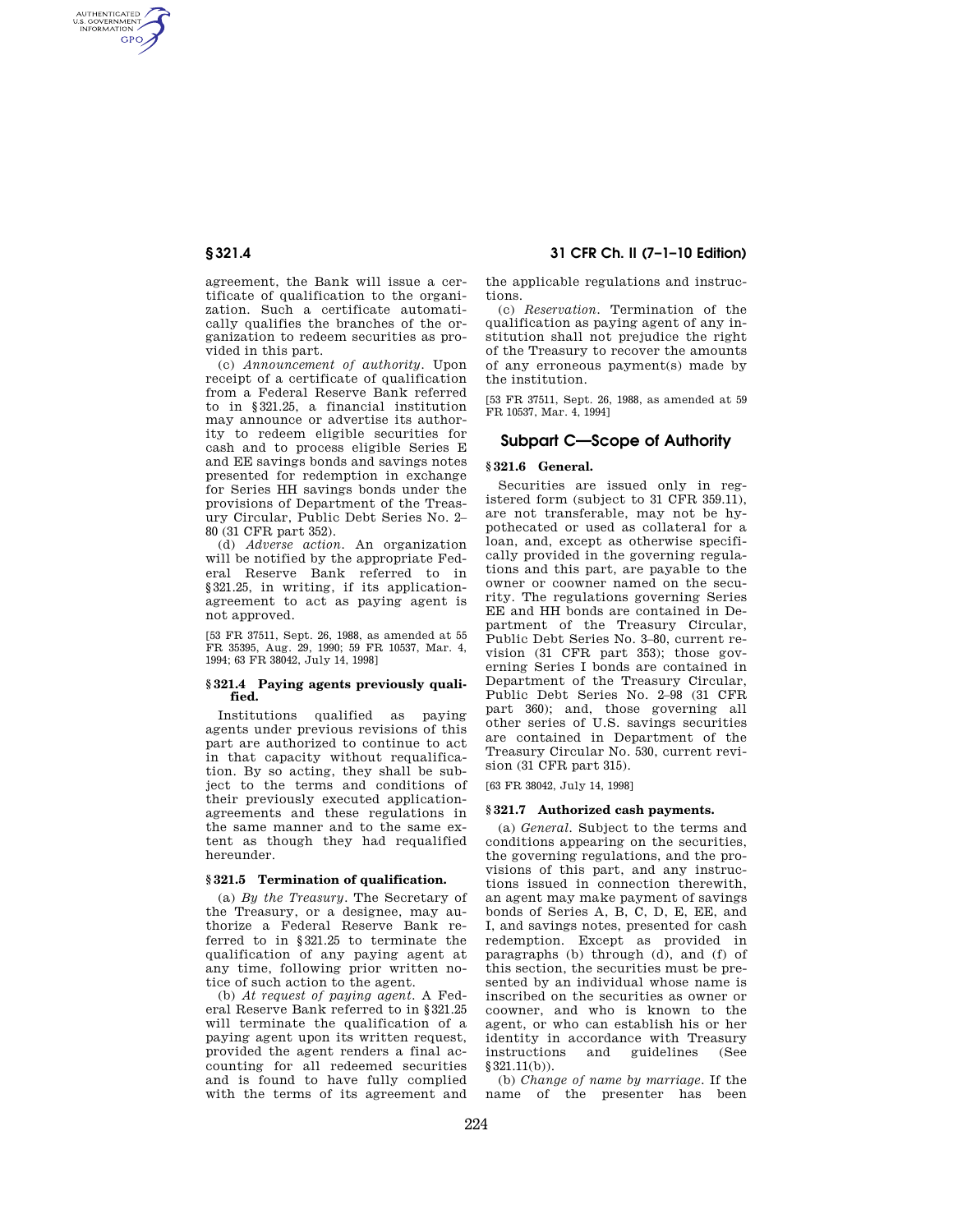AUTHENTICATED<br>U.S. GOVERNMENT<br>INFORMATION **GPO** 

> agreement, the Bank will issue a certificate of qualification to the organization. Such a certificate automatically qualifies the branches of the organization to redeem securities as provided in this part.

> (c) *Announcement of authority.* Upon receipt of a certificate of qualification from a Federal Reserve Bank referred to in §321.25, a financial institution may announce or advertise its authority to redeem eligible securities for cash and to process eligible Series E and EE savings bonds and savings notes presented for redemption in exchange for Series HH savings bonds under the provisions of Department of the Treasury Circular, Public Debt Series No. 2– 80 (31 CFR part 352).

> (d) *Adverse action.* An organization will be notified by the appropriate Federal Reserve Bank referred to in §321.25, in writing, if its applicationagreement to act as paying agent is not approved.

> [53 FR 37511, Sept. 26, 1988, as amended at 55 FR 35395, Aug. 29, 1990; 59 FR 10537, Mar. 4, 1994; 63 FR 38042, July 14, 1998]

#### **§ 321.4 Paying agents previously qualified.**

Institutions qualified as paying agents under previous revisions of this part are authorized to continue to act in that capacity without requalification. By so acting, they shall be subject to the terms and conditions of their previously executed applicationagreements and these regulations in the same manner and to the same extent as though they had requalified hereunder.

#### **§ 321.5 Termination of qualification.**

(a) *By the Treasury.* The Secretary of the Treasury, or a designee, may authorize a Federal Reserve Bank referred to in §321.25 to terminate the qualification of any paying agent at any time, following prior written notice of such action to the agent.

(b) *At request of paying agent.* A Federal Reserve Bank referred to in §321.25 will terminate the qualification of a paying agent upon its written request, provided the agent renders a final accounting for all redeemed securities and is found to have fully complied with the terms of its agreement and

**§ 321.4 31 CFR Ch. II (7–1–10 Edition)** 

the applicable regulations and instructions.

(c) *Reservation.* Termination of the qualification as paying agent of any institution shall not prejudice the right of the Treasury to recover the amounts of any erroneous payment(s) made by the institution.

[53 FR 37511, Sept. 26, 1988, as amended at 59 FR 10537, Mar. 4, 1994]

# **Subpart C—Scope of Authority**

#### **§ 321.6 General.**

Securities are issued only in registered form (subject to 31 CFR 359.11), are not transferable, may not be hypothecated or used as collateral for a loan, and, except as otherwise specifically provided in the governing regulations and this part, are payable to the owner or coowner named on the security. The regulations governing Series EE and HH bonds are contained in Department of the Treasury Circular, Public Debt Series No. 3–80, current revision (31 CFR part 353); those governing Series I bonds are contained in Department of the Treasury Circular, Public Debt Series No. 2–98 (31 CFR part 360); and, those governing all other series of U.S. savings securities are contained in Department of the Treasury Circular No. 530, current revision (31 CFR part 315).

[63 FR 38042, July 14, 1998]

### **§ 321.7 Authorized cash payments.**

(a) *General.* Subject to the terms and conditions appearing on the securities, the governing regulations, and the provisions of this part, and any instructions issued in connection therewith, an agent may make payment of savings bonds of Series A, B, C, D, E, EE, and I, and savings notes, presented for cash redemption. Except as provided in paragraphs (b) through (d), and (f) of this section, the securities must be presented by an individual whose name is inscribed on the securities as owner or coowner, and who is known to the agent, or who can establish his or her identity in accordance with Treasury instructions and guidelines (See §321.11(b)).

(b) *Change of name by marriage.* If the name of the presenter has been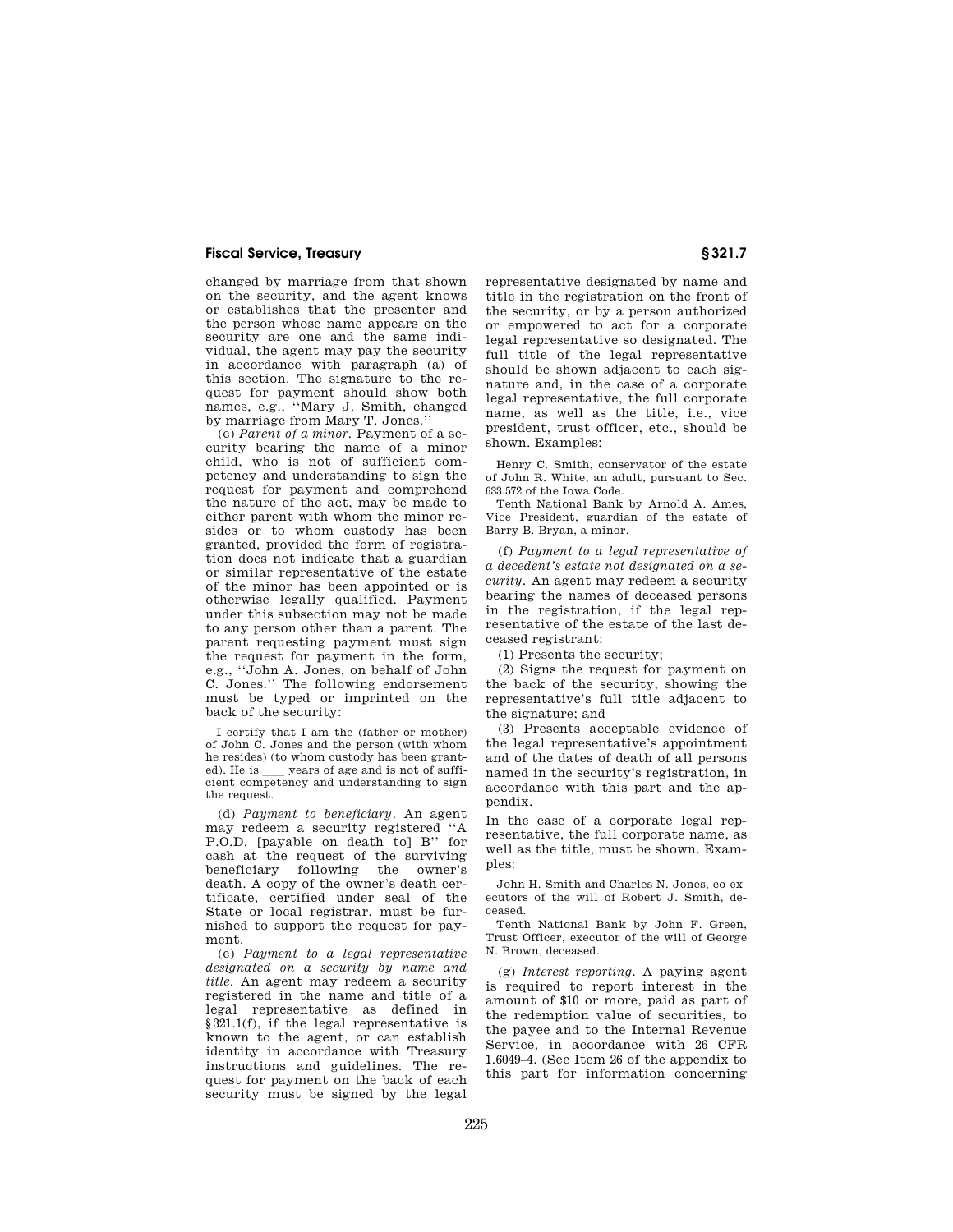## **Fiscal Service, Treasury § 321.7**

changed by marriage from that shown on the security, and the agent knows or establishes that the presenter and the person whose name appears on the security are one and the same individual, the agent may pay the security in accordance with paragraph (a) of this section. The signature to the request for payment should show both names, e.g., ''Mary J. Smith, changed by marriage from Mary T. Jones.''

(c) *Parent of a minor.* Payment of a security bearing the name of a minor child, who is not of sufficient competency and understanding to sign the request for payment and comprehend the nature of the act, may be made to either parent with whom the minor resides or to whom custody has been granted, provided the form of registration does not indicate that a guardian or similar representative of the estate of the minor has been appointed or is otherwise legally qualified. Payment under this subsection may not be made to any person other than a parent. The parent requesting payment must sign the request for payment in the form, e.g., ''John A. Jones, on behalf of John C. Jones.'' The following endorsement must be typed or imprinted on the back of the security:

I certify that I am the (father or mother) of John C. Jones and the person (with whom he resides) (to whom custody has been granted). He is \_\_\_ years of age and is not of sufficient competency and understanding to sign the request.

(d) *Payment to beneficiary.* An agent may redeem a security registered ''A P.O.D. [payable on death to] B'' for cash at the request of the surviving beneficiary following the owner's death. A copy of the owner's death certificate, certified under seal of the State or local registrar, must be furnished to support the request for payment.

(e) *Payment to a legal representative designated on a security by name and title.* An agent may redeem a security registered in the name and title of a legal representative as defined in §321.1(f), if the legal representative is known to the agent, or can establish identity in accordance with Treasury instructions and guidelines. The request for payment on the back of each security must be signed by the legal

representative designated by name and title in the registration on the front of the security, or by a person authorized or empowered to act for a corporate legal representative so designated. The full title of the legal representative should be shown adjacent to each signature and, in the case of a corporate legal representative, the full corporate name, as well as the title, i.e., vice president, trust officer, etc., should be shown. Examples:

Henry C. Smith, conservator of the estate of John R. White, an adult, pursuant to Sec. 633.572 of the Iowa Code.

Tenth National Bank by Arnold A. Ames, Vice President, guardian of the estate of Barry B. Bryan, a minor.

(f) *Payment to a legal representative of a decedent's estate not designated on a security.* An agent may redeem a security bearing the names of deceased persons in the registration, if the legal representative of the estate of the last deceased registrant:

(1) Presents the security;

(2) Signs the request for payment on the back of the security, showing the representative's full title adjacent to the signature; and

(3) Presents acceptable evidence of the legal representative's appointment and of the dates of death of all persons named in the security's registration, in accordance with this part and the appendix.

In the case of a corporate legal representative, the full corporate name, as well as the title, must be shown. Examples:

John H. Smith and Charles N. Jones, co-executors of the will of Robert J. Smith, deceased.

Tenth National Bank by John F. Green, Trust Officer, executor of the will of George N. Brown, deceased.

(g) *Interest reporting.* A paying agent is required to report interest in the amount of \$10 or more, paid as part of the redemption value of securities, to the payee and to the Internal Revenue Service, in accordance with 26 CFR 1.6049–4. (See Item 26 of the appendix to this part for information concerning